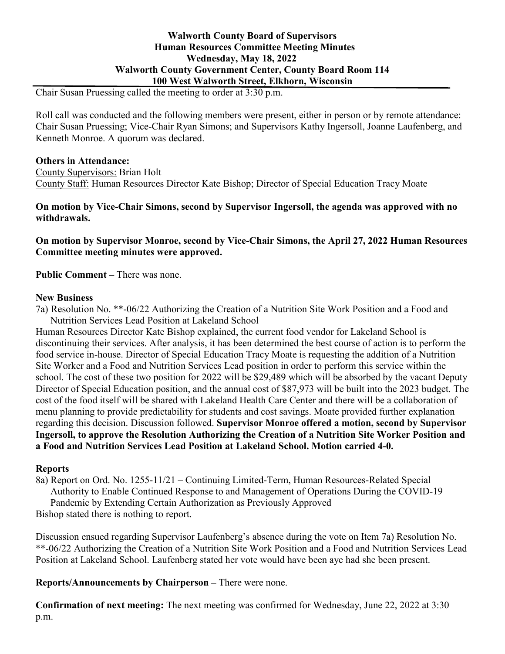# **Walworth County Board of Supervisors Human Resources Committee Meeting Minutes Wednesday, May 18, 2022 Walworth County Government Center, County Board Room 114 100 West Walworth Street, Elkhorn, Wisconsin**

Chair Susan Pruessing called the meeting to order at 3:30 p.m.

Roll call was conducted and the following members were present, either in person or by remote attendance: Chair Susan Pruessing; Vice-Chair Ryan Simons; and Supervisors Kathy Ingersoll, Joanne Laufenberg, and Kenneth Monroe. A quorum was declared.

#### **Others in Attendance:**

County Supervisors: Brian Holt County Staff: Human Resources Director Kate Bishop; Director of Special Education Tracy Moate

#### **On motion by Vice-Chair Simons, second by Supervisor Ingersoll, the agenda was approved with no withdrawals.**

**On motion by Supervisor Monroe, second by Vice-Chair Simons, the April 27, 2022 Human Resources Committee meeting minutes were approved.**

**Public Comment –** There was none.

#### **New Business**

7a) Resolution No. \*\*-06/22 Authorizing the Creation of a Nutrition Site Work Position and a Food and Nutrition Services Lead Position at Lakeland School

Human Resources Director Kate Bishop explained, the current food vendor for Lakeland School is discontinuing their services. After analysis, it has been determined the best course of action is to perform the food service in-house. Director of Special Education Tracy Moate is requesting the addition of a Nutrition Site Worker and a Food and Nutrition Services Lead position in order to perform this service within the school. The cost of these two position for 2022 will be \$29,489 which will be absorbed by the vacant Deputy Director of Special Education position, and the annual cost of \$87,973 will be built into the 2023 budget. The cost of the food itself will be shared with Lakeland Health Care Center and there will be a collaboration of menu planning to provide predictability for students and cost savings. Moate provided further explanation regarding this decision. Discussion followed. **Supervisor Monroe offered a motion, second by Supervisor Ingersoll, to approve the Resolution Authorizing the Creation of a Nutrition Site Worker Position and a Food and Nutrition Services Lead Position at Lakeland School. Motion carried 4-0.**

## **Reports**

8a) Report on Ord. No. 1255-11/21 – Continuing Limited-Term, Human Resources-Related Special Authority to Enable Continued Response to and Management of Operations During the COVID-19 Pandemic by Extending Certain Authorization as Previously Approved

Bishop stated there is nothing to report.

Discussion ensued regarding Supervisor Laufenberg's absence during the vote on Item 7a) Resolution No. \*\*-06/22 Authorizing the Creation of a Nutrition Site Work Position and a Food and Nutrition Services Lead Position at Lakeland School. Laufenberg stated her vote would have been aye had she been present.

**Reports/Announcements by Chairperson –** There were none.

**Confirmation of next meeting:** The next meeting was confirmed for Wednesday, June 22, 2022 at 3:30 p.m.